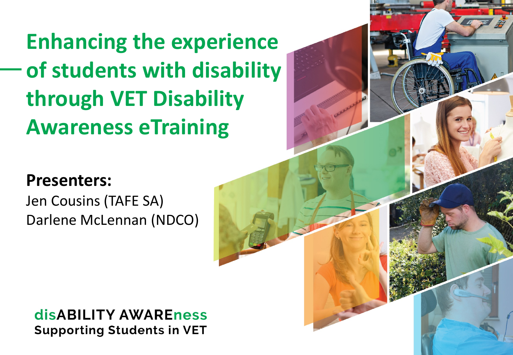**Enhancing the experience of students with disability through VET Disability Awareness eTraining** 

#### **Presenters:**

Jen Cousins (TAFE SA) Darlene McLennan (NDCO)

#### **disABILITY AWAREness Supporting Students in VET**

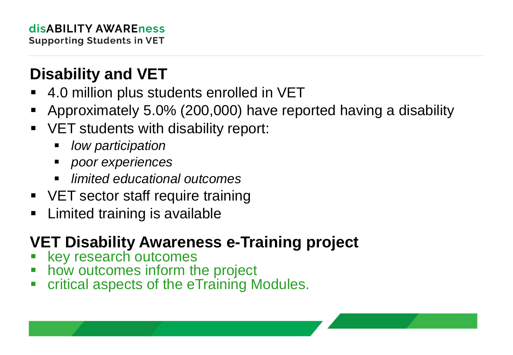# **Disability and VET**

- 4.0 million plus students enrolled in VET
- Approximately 5.0% (200,000) have reported having a disability
- VET students with disability report:
	- *low participation*
	- *poor experiences*
	- *limited educational outcomes*
- VET sector staff require training
- **E** Limited training is available

### **VET Disability Awareness e-Training project**

- key research outcomes
- how outcomes inform the project
- critical aspects of the eTraining Modules.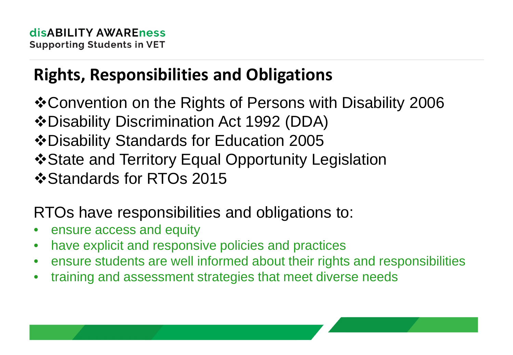# **Rights, Responsibilities and Obligations**

- Convention on the Rights of Persons with Disability 2006
- Disability Discrimination Act 1992 (DDA)
- Disability Standards for Education 2005
- State and Territory Equal Opportunity Legislation
- ❖ Standards for RTOs 2015

#### RTOs have responsibilities and obligations to:

- ensure access and equity
- have explicit and responsive policies and practices
- ensure students are well informed about their rights and responsibilities
- training and assessment strategies that meet diverse needs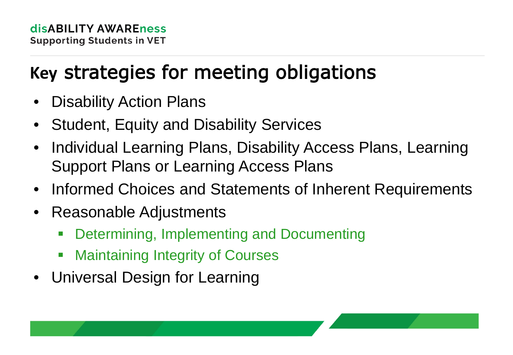# **Key** strategies for meeting obligations

- **Disability Action Plans**
- Student, Equity and Disability Services
- Individual Learning Plans, Disability Access Plans, Learning Support Plans or Learning Access Plans
- Informed Choices and Statements of Inherent Requirements
- Reasonable Adjustments
	- Determining, Implementing and Documenting
	- **EXED Maintaining Integrity of Courses**
- Universal Design for Learning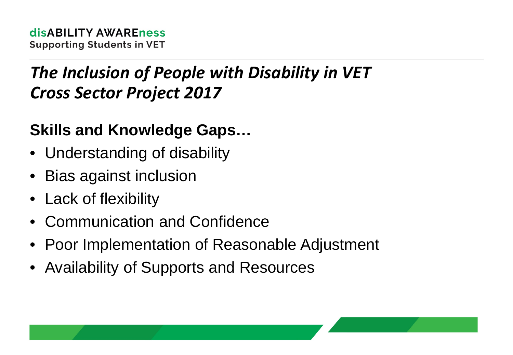## *The Inclusion of People with Disability in VET Cross Sector Project 2017*

#### **Skills and Knowledge Gaps…**

- Understanding of disability
- Bias against inclusion
- Lack of flexibility
- Communication and Confidence
- Poor Implementation of Reasonable Adjustment
- Availability of Supports and Resources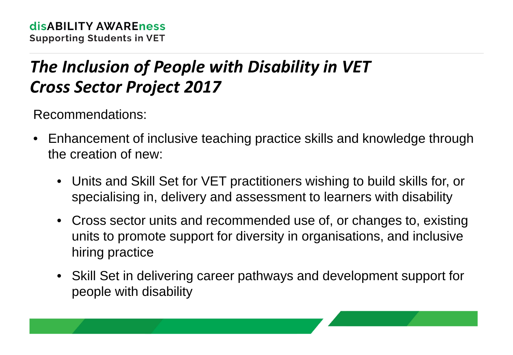## *The Inclusion of People with Disability in VET Cross Sector Project 2017*

Recommendations:

- Enhancement of inclusive teaching practice skills and knowledge through the creation of new:
	- Units and Skill Set for VET practitioners wishing to build skills for, or specialising in, delivery and assessment to learners with disability
	- Cross sector units and recommended use of, or changes to, existing units to promote support for diversity in organisations, and inclusive hiring practice
	- Skill Set in delivering career pathways and development support for people with disability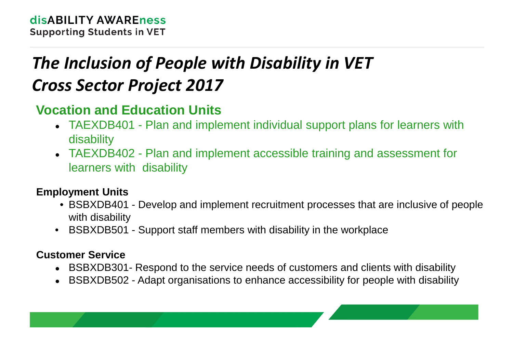# *The Inclusion of People with Disability in VET Cross Sector Project 2017*

#### **Vocation and Education Units**

- TAEXDB401 Plan and implement individual support plans for learners with disability
- TAEXDB402 Plan and implement accessible training and assessment for learners with disability

#### **Employment Units**

- BSBXDB401 Develop and implement recruitment processes that are inclusive of people with disability
- BSBXDB501 Support staff members with disability in the workplace

#### **Customer Service**

- BSBXDB301- Respond to the service needs of customers and clients with disability
- BSBXDB502 Adapt organisations to enhance accessibility for people with disability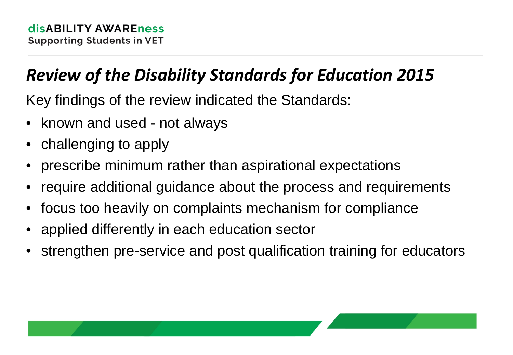## *Review of the Disability Standards for Education 2015*

Key findings of the review indicated the Standards:

- known and used not always
- challenging to apply
- prescribe minimum rather than aspirational expectations
- require additional guidance about the process and requirements
- focus too heavily on complaints mechanism for compliance
- applied differently in each education sector
- strengthen pre-service and post qualification training for educators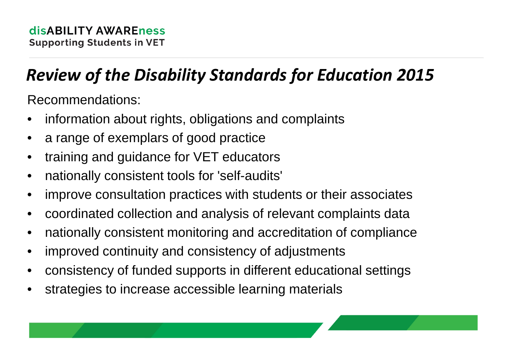## *Review of the Disability Standards for Education 2015*

Recommendations:

- information about rights, obligations and complaints
- a range of exemplars of good practice
- training and guidance for VET educators
- nationally consistent tools for 'self-audits'
- improve consultation practices with students or their associates
- coordinated collection and analysis of relevant complaints data
- nationally consistent monitoring and accreditation of compliance
- improved continuity and consistency of adjustments
- consistency of funded supports in different educational settings
- strategies to increase accessible learning materials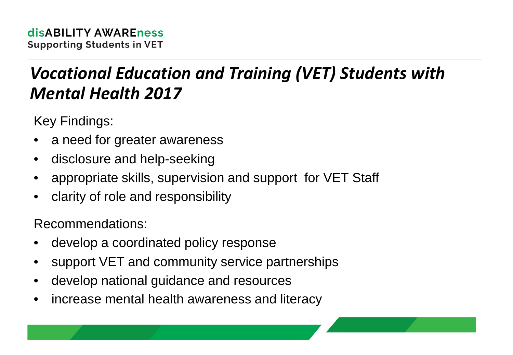### *Vocational Education and Training (VET) Students with Mental Health 2017*

Key Findings:

- a need for greater awareness
- disclosure and help-seeking
- appropriate skills, supervision and support for VET Staff
- clarity of role and responsibility

Recommendations:

- develop a coordinated policy response
- support VET and community service partnerships
- develop national guidance and resources
- increase mental health awareness and literacy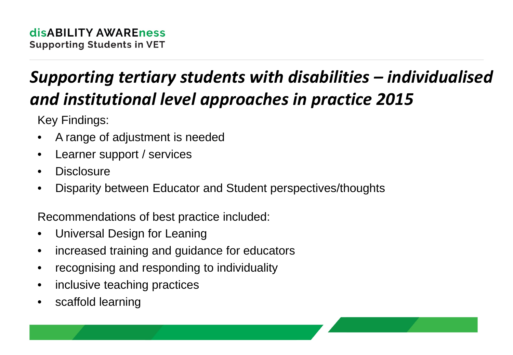# *Supporting tertiary students with disabilities – individualised and institutional level approaches in practice 2015*

Key Findings:

- A range of adjustment is needed
- Learner support / services
- Disclosure
- Disparity between Educator and Student perspectives/thoughts

Recommendations of best practice included:

- Universal Design for Leaning
- increased training and guidance for educators
- recognising and responding to individuality
- inclusive teaching practices
- scaffold learning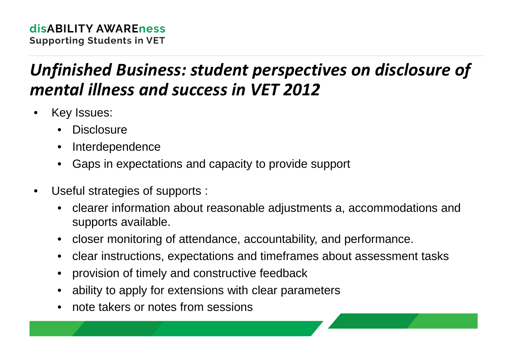## *Unfinished Business: student perspectives on disclosure of mental illness and success in VET 2012*

- Key Issues:
	- **Disclosure**
	- **Interdependence**
	- Gaps in expectations and capacity to provide support
- Useful strategies of supports :
	- clearer information about reasonable adjustments a, accommodations and supports available.
	- closer monitoring of attendance, accountability, and performance.
	- clear instructions, expectations and timeframes about assessment tasks
	- provision of timely and constructive feedback
	- ability to apply for extensions with clear parameters
	- note takers or notes from sessions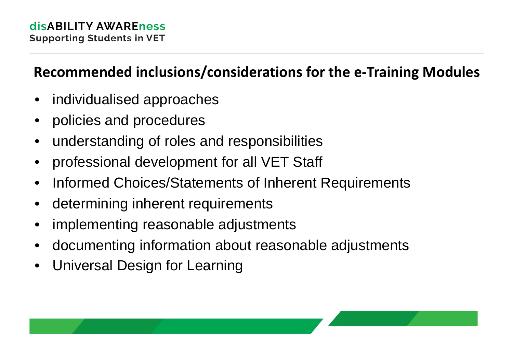#### **Recommended inclusions/considerations for the e-Training Modules**

- individualised approaches
- policies and procedures
- understanding of roles and responsibilities
- professional development for all VET Staff
- Informed Choices/Statements of Inherent Requirements
- determining inherent requirements
- implementing reasonable adjustments
- documenting information about reasonable adjustments
- Universal Design for Learning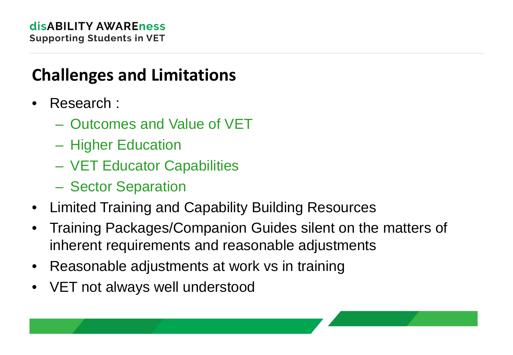#### **Challenges and Limitations**

- Research :
	- Outcomes and Value of VET
	- Higher Education
	- VET Educator Capabilities
	- Sector Separation
- Limited Training and Capability Building Resources
- Training Packages/Companion Guides silent on the matters of inherent requirements and reasonable adjustments
- Reasonable adjustments at work vs in training
- VET not always well understood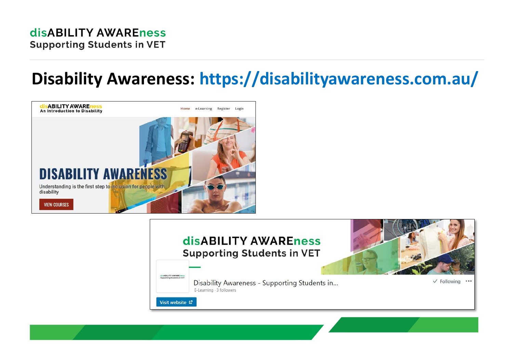#### **disABILITY AWAREness Supporting Students in VET**

#### **Disability Awareness: https://disabilityawareness.com.au/**



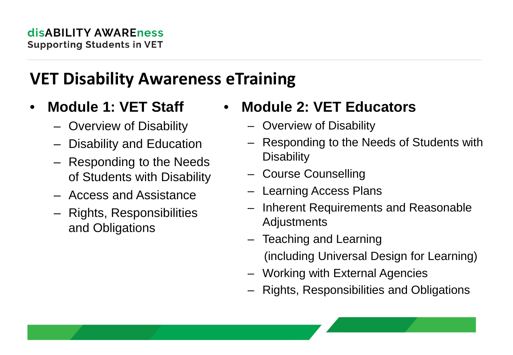#### **VET Disability Awareness eTraining**

- **Module 1: VET Staff** 
	- Overview of Disability
	- Disability and Education
	- Responding to the Needs of Students with Disability
	- Access and Assistance
	- Rights, Responsibilities and Obligations

#### • **Module 2: VET Educators**

- Overview of Disability
- Responding to the Needs of Students with **Disability**
- Course Counselling
- Learning Access Plans
- Inherent Requirements and Reasonable Adjustments
- Teaching and Learning (including Universal Design for Learning)
- Working with External Agencies
- Rights, Responsibilities and Obligations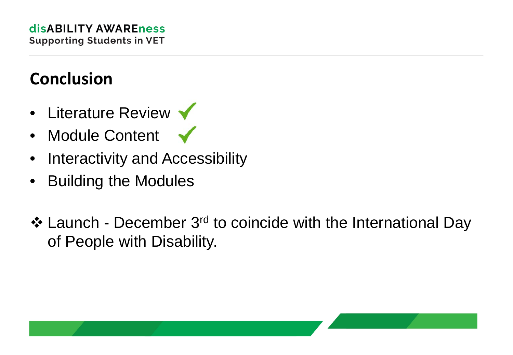## **Conclusion**

- Literature Review  $\blacktriangledown$
- Module Content
- Interactivity and Accessibility
- Building the Modules
- ❖ Launch December 3<sup>rd</sup> to coincide with the International Day of People with Disability.